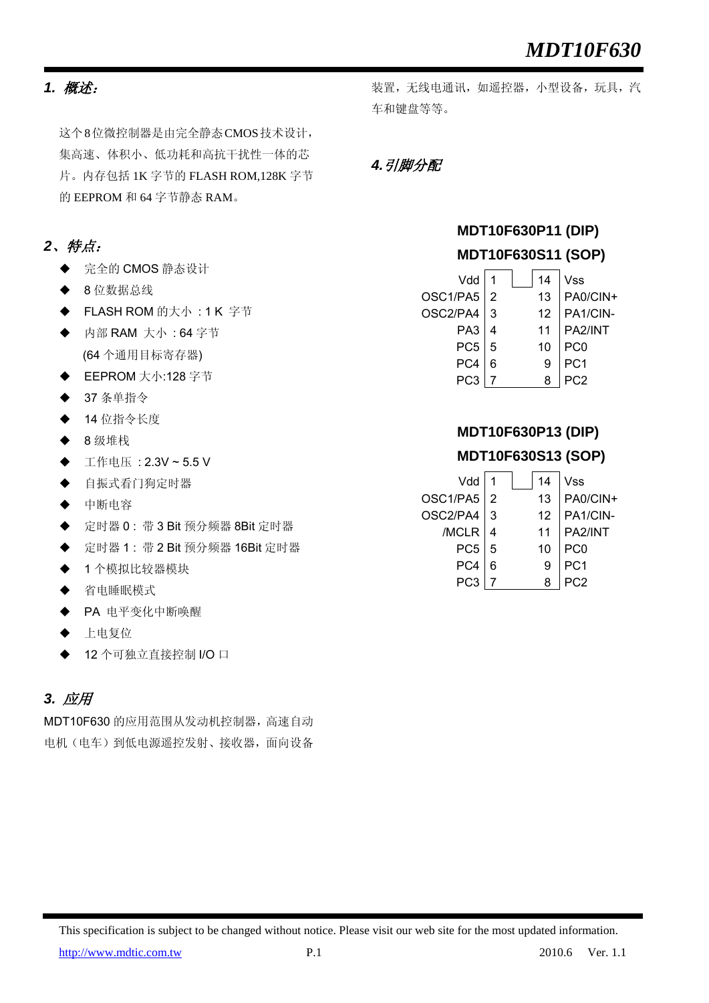### *1.* 概述:

这个8位微控制器是由完全静态CMOS技术设计, 集高速、体积小、低功耗和高抗干扰性一体的芯 片。内存包括 1K 字节的 FLASH ROM,128K 字节 的 EEPROM 和 64 字节静态 RAM。

## *2*、特点:

- ◆ 完全的 CMOS 静态设计
- ◆ 8 位数据总线
- FLASH ROM 的大小: 1 K 字节
- 内部 RAM 大小 : 64 字节 (64 个通用目标寄存器)
- EEPROM 大小:128 字节
- 37 条单指令
- ◆ 14 位指令长度
- 8 级堆栈
- 工作电压 : 2.3V ~ 5.5 V
- 自振式看门狗定时器
- 中断电容
- 定时器 0 : 带 3 Bit 预分频器 8Bit 定时器
- 定时器 1 : 带 2 Bit 预分频器 16Bit 定时器
- ◆ 1个模拟比较器模块
- 省电睡眠模式
- ◆ PA 电平变化中断唤醒
- ◆ 上电复位
- 12 个可独立直接控制 I/O 口

### *3.* 应用

MDT10F630 的应用范围从发动机控制器,高速自动 电机(电车)到低电源遥控发射、接收器,面向设备 装置,无线电通讯,如遥控器,小型设备,玩具,汽 车和键盘等等。

### *4.*引脚分配

## **MDT10F630P11 (DIP) MDT10F630S11 (SOP)**

| Vdd             |   | 14 | Vss             |
|-----------------|---|----|-----------------|
| OSC1/PA5        |   | 13 | PA0/CIN+        |
| OSC2/PA4        | 3 | 12 | PA1/CIN-        |
| PA <sub>3</sub> |   | 11 | PA2/INT         |
| PC <sub>5</sub> | 5 | 10 | PC0             |
| PC4             |   | 9  | PC <sub>1</sub> |
|                 |   |    |                 |

## **MDT10F630P13 (DIP) MDT10F630S13 (SOP)**

| Vdd             |   | 14 | Vss             |
|-----------------|---|----|-----------------|
| OSC1/PA5        |   | 13 | PA0/CIN+        |
| OSC2/PA4        | 3 | 12 | PA1/CIN-        |
| /MCLR           |   | 11 | PA2/INT         |
| PC <sub>5</sub> | 5 | 10 | PC0             |
| PC4             |   |    | PC <sub>1</sub> |
|                 |   |    |                 |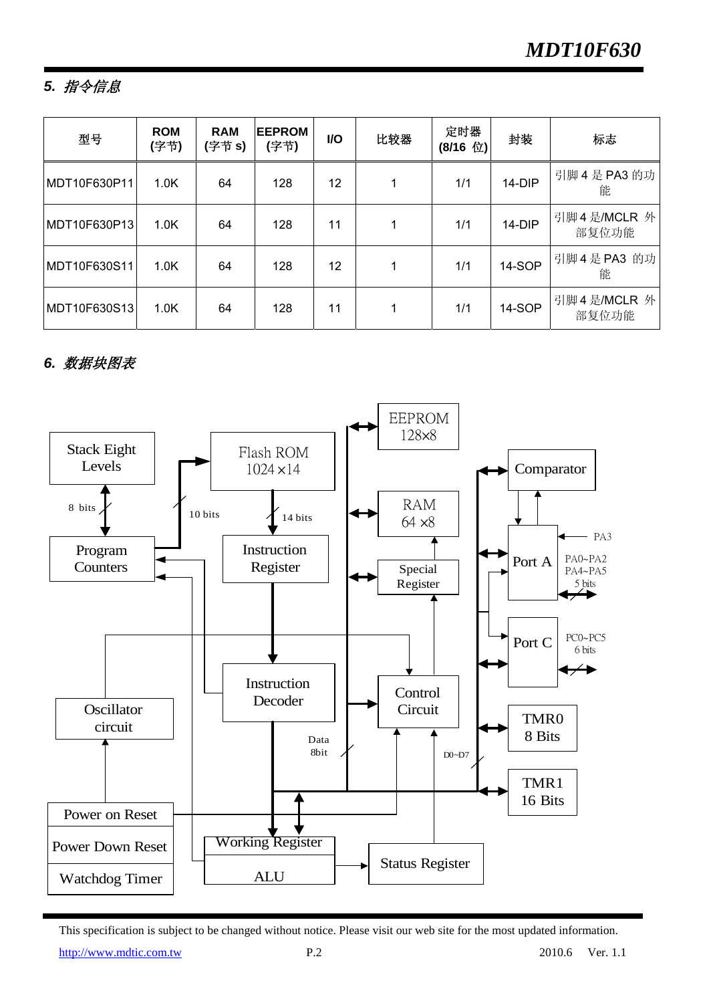## *5.* 指令信息

| 型号           | <b>ROM</b><br>(字节) | <b>RAM</b><br>(字节 s) | <b>EEPROM</b><br>(字节) | <b>VO</b> | 比较器 | 定时器<br>(8/16 位) | 封装       | 标志                   |
|--------------|--------------------|----------------------|-----------------------|-----------|-----|-----------------|----------|----------------------|
| MDT10F630P11 | 1.0K               | 64                   | 128                   | 12        | 1   | 1/1             | 14-DIP   | 引脚 4 是 PA3 的功<br>能   |
| MDT10F630P13 | 1.0K               | 64                   | 128                   | 11        | 1   | 1/1             | $14-DIP$ | 引脚4是/MCLR 外<br>部复位功能 |
| MDT10F630S11 | 1.0K               | 64                   | 128                   | 12        | 1   | 1/1             | 14-SOP   | 引脚 4 是 PA3 的功<br>能   |
| MDT10F630S13 | 1.0K               | 64                   | 128                   | 11        | 1   | 1/1             | 14-SOP   | 引脚4是/MCLR 外<br>部复位功能 |

## *6.* 数据块图表



This specification is subject to be changed without notice. Please visit our web site for the most updated information.

http://www.md<u>tic.com.tw</u> P.2 2010.6 Ver. 1.1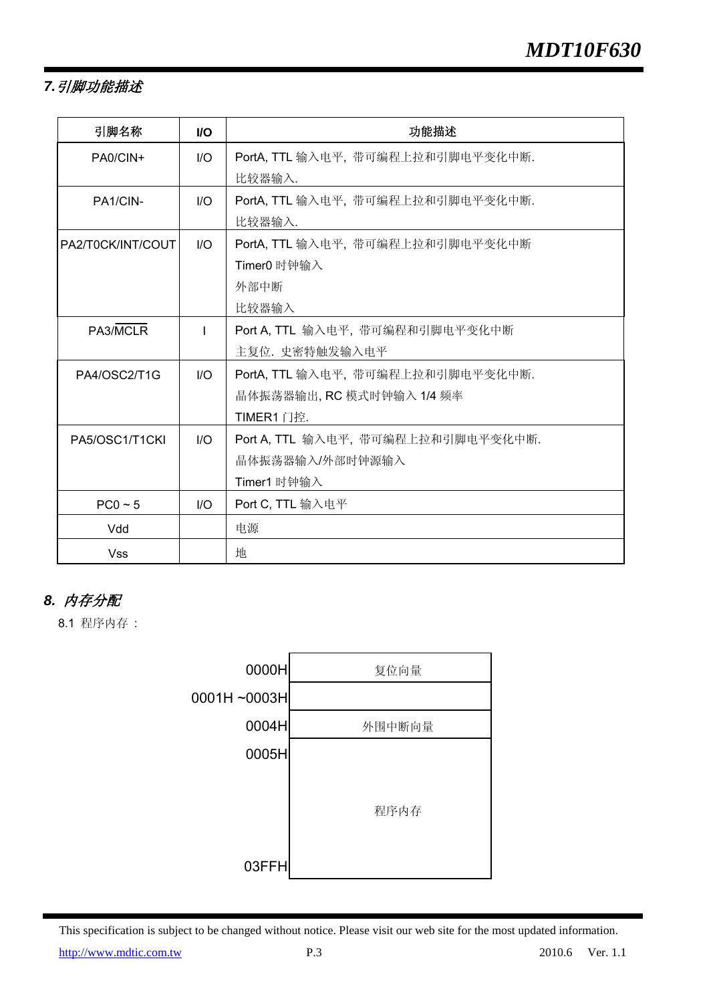## *7.*引脚功能描述

| 引脚名称              | <b>VO</b> | 功能描述                               |
|-------------------|-----------|------------------------------------|
| PA0/CIN+          | 1/O       | PortA, TTL 输入电平, 带可编程上拉和引脚电平变化中断.  |
|                   |           | 比较器输入.                             |
| PA1/CIN-          | 1/O       | PortA, TTL 输入电平, 带可编程上拉和引脚电平变化中断.  |
|                   |           | 比较器输入.                             |
| PA2/T0CK/INT/COUT | 1/O       | PortA, TTL 输入电平, 带可编程上拉和引脚电平变化中断   |
|                   |           | Timer0 时钟输入                        |
|                   |           | 外部中断                               |
|                   |           | 比较器输入                              |
| PA3/MCLR          |           | Port A, TTL 输入电平, 带可编程和引脚电平变化中断    |
|                   |           | 主复位. 史密特触发输入电平                     |
| PA4/OSC2/T1G      | 1/O       | PortA, TTL 输入电平, 带可编程上拉和引脚电平变化中断.  |
|                   |           | 晶体振荡器输出, RC 模式时钟输入 1/4 频率          |
|                   |           | TIMER1 门控.                         |
| PA5/OSC1/T1CKI    | 1/O       | Port A, TTL 输入电平, 带可编程上拉和引脚电平变化中断. |
|                   |           | 晶体振荡器输入/外部时钟源输入                    |
|                   |           | Timer1 时钟输入                        |
| $PC0 \sim 5$      | 1/O       | Port C, TTL 输入电平                   |
| Vdd               |           | 电源                                 |
| <b>Vss</b>        |           | 地                                  |

## *8.* 内存分配

8.1 程序内存 :

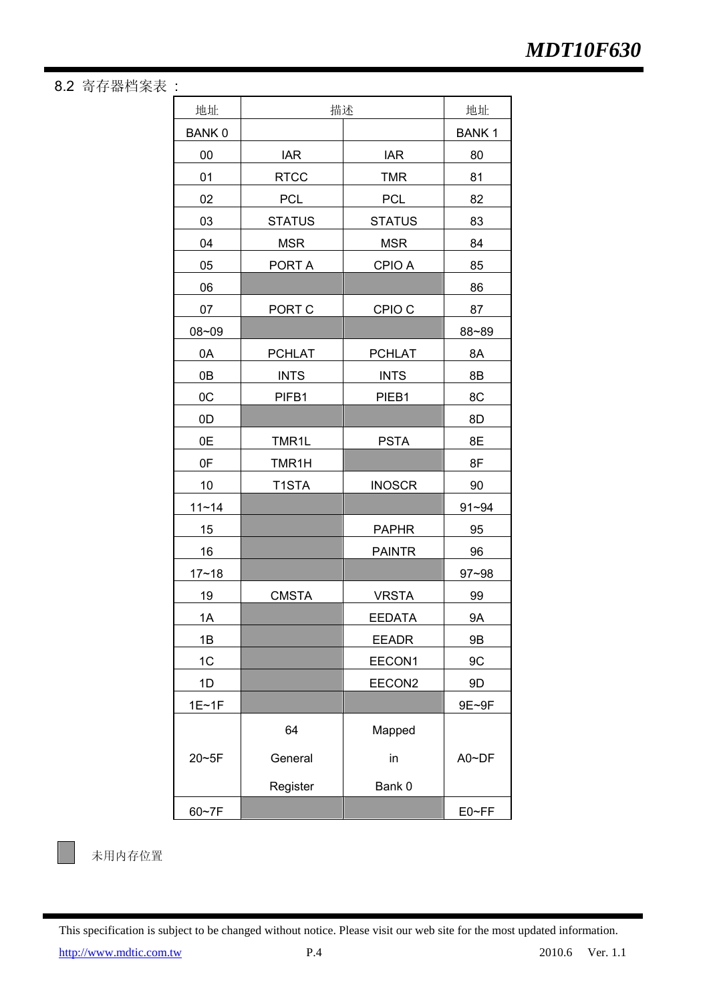8.2 寄存器档案表 :

| 地址             | 描述            |                   | 地址           |
|----------------|---------------|-------------------|--------------|
| <b>BANK0</b>   |               |                   | <b>BANK1</b> |
| 00             | <b>IAR</b>    | <b>IAR</b>        | 80           |
| 01             | <b>RTCC</b>   | <b>TMR</b>        | 81           |
| 02             | <b>PCL</b>    | <b>PCL</b>        | 82           |
| 03             | <b>STATUS</b> | <b>STATUS</b>     | 83           |
| 04             | <b>MSR</b>    | <b>MSR</b>        | 84           |
| 05             | PORT A        | CPIO A            | 85           |
| 06             |               |                   | 86           |
| 07             | PORT C        | CPIO <sub>C</sub> | 87           |
| 08~09          |               |                   | 88~89        |
| 0A             | <b>PCHLAT</b> | <b>PCHLAT</b>     | 8A           |
| 0 <sub>B</sub> | <b>INTS</b>   | <b>INTS</b>       | 8B           |
| 0C             | PIFB1         | PIEB1             | 8C           |
| 0D             |               |                   | 8D           |
| 0E             | TMR1L         | <b>PSTA</b>       | 8E           |
| 0F             | TMR1H         |                   | 8F           |
| 10             | T1STA         | <b>INOSCR</b>     | 90           |
| $11 - 14$      |               |                   | $91 - 94$    |
| 15             |               | <b>PAPHR</b>      | 95           |
| 16             |               | <b>PAINTR</b>     | 96           |
| $17 - 18$      |               |                   | $97 - 98$    |
| 19             | <b>CMSTA</b>  | <b>VRSTA</b>      | 99           |
| 1A             |               | <b>EEDATA</b>     | <b>9A</b>    |
| 1B             |               | <b>EEADR</b>      | 9B           |
| 1C             |               | EECON1            | 9C           |
| 1D             |               | EECON2            | 9D           |
| 1E~1F          |               |                   | 9E~9F        |
|                | 64            | Mapped            |              |
| 20~5F          | General       | in                | A0~DF        |
|                | Register      | Bank 0            |              |
| 60~7F          |               |                   | E0~FF        |



未用内存位置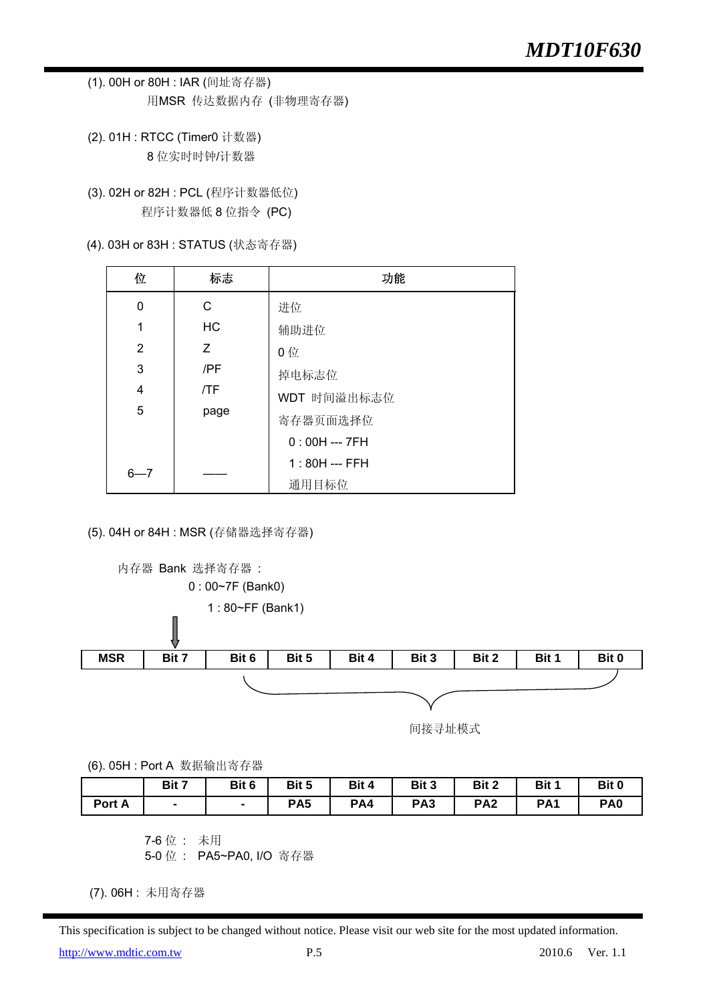- (1). 00H or 80H : IAR (间址寄存器) 用MSR 传达数据内存 (非物理寄存器)
- (2). 01H : RTCC (Timer0 计数器) 8 位实时时钟/计数器
- (3). 02H or 82H : PCL (程序计数器低位) 程序计数器低 8 位指令 (PC)
- (4). 03H or 83H : STATUS (状态寄存器)

| 位              | 标志        | 功能             |
|----------------|-----------|----------------|
| 0              | C         | 进位             |
| 1              | <b>HC</b> | 辅助进位           |
| 2              | Z         | 0位             |
| 3              | /PF       | 掉电标志位          |
| $\overline{4}$ | /TF       | WDT 时间溢出标志位    |
| 5              | page      | 寄存器页面选择位       |
|                |           | $0:00H -- 7FH$ |
| 6—7            |           | $1:80H -- FFH$ |
|                |           | 通用目标位          |

(5). 04H or 84H : MSR (存储器选择寄存器)



(6). 05H : Port A 数据输出寄存器

|        | Bit 7 | Bit 6 | Bit 5           | Bit 4 | Bit 3           | Bit 2           | Bit 1           | Bit 0           |
|--------|-------|-------|-----------------|-------|-----------------|-----------------|-----------------|-----------------|
| Port A |       |       | PA <sub>5</sub> | PA4   | PA <sub>3</sub> | PA <sub>2</sub> | PA <sub>1</sub> | PA <sub>0</sub> |

 7-6 位 : 未用 5-0 位 : PA5~PA0, I/O 寄存器

(7). 06H : 未用寄存器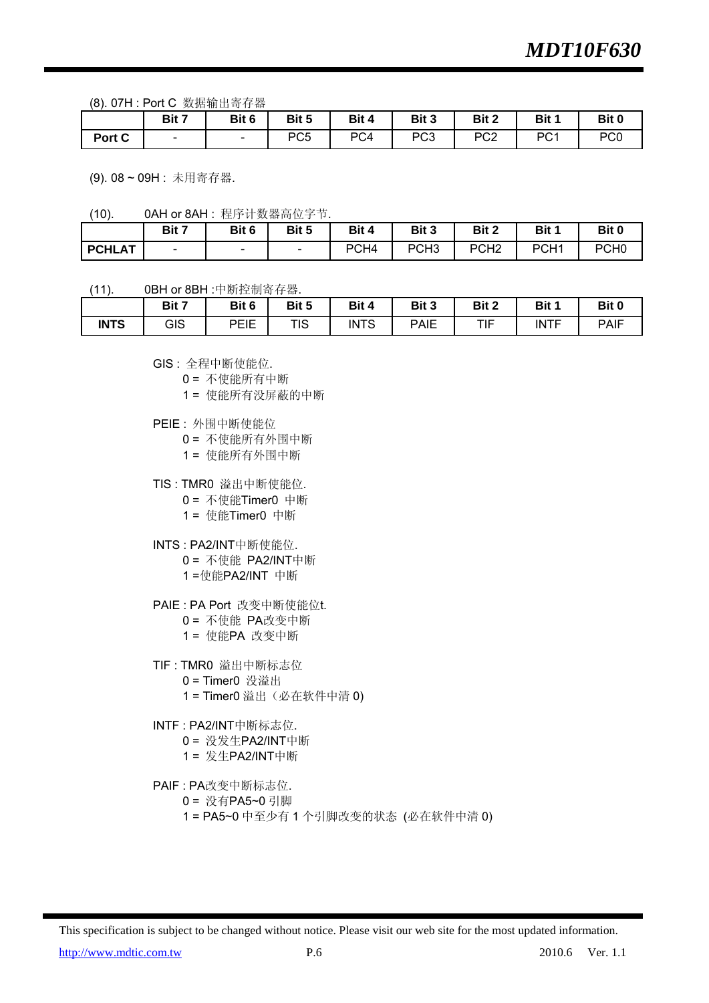(8). 07H : Port C 数据输出寄存器

|        | .      |       |       |       |            |                 |                 |                 |
|--------|--------|-------|-------|-------|------------|-----------------|-----------------|-----------------|
|        | Bit 7  | Bit 6 | Bit 5 | Bit 4 | Bit 3      | Bit 2           | Bit 1           | Bit 0           |
| Port C | $\sim$ | -     | PC5   | PC4   | ?∩ם<br>دت∵ | PC <sub>2</sub> | PC <sub>1</sub> | PC <sub>0</sub> |

(9). 08 ~ 09H : 未用寄存器.

<sup>(10). 0</sup>AH or 8AH : 程序计数器高位字节.

|               | Bit 7                    | Bit 6  | Bit 5 | Bit 4            | Bit 3            | Bit 2            | Bit 1            | Bit 0            |
|---------------|--------------------------|--------|-------|------------------|------------------|------------------|------------------|------------------|
| <b>PCHLAT</b> | $\overline{\phantom{0}}$ | $\sim$ | -     | PCH <sub>4</sub> | PCH <sub>3</sub> | PCH <sub>2</sub> | PCH <sub>1</sub> | PCH <sub>0</sub> |

(11). 0BH or 8BH :中断控制寄存器.

|             | Bit 7 | Bit 6 | Bit 5 | Bit 4       | Bit 3       | Bit 2 | Bit 1       | Bit 0       |
|-------------|-------|-------|-------|-------------|-------------|-------|-------------|-------------|
| <b>INTS</b> | GIS   | PEIE  | TIS   | <b>INTS</b> | <b>PAIE</b> | TIF   | <b>INTF</b> | <b>PAIF</b> |

GIS : 全程中断使能位.

0 = 不使能所有中断

1 = 使能所有没屏蔽的中断

- PEIE : 外围中断使能位
	- 0 = 不使能所有外围中断

1 = 使能所有外围中断

TIS : TMR0 溢出中断使能位.

- 0 = 不使能Timer0 中断
- 1 = 使能Timer0 中断
- INTS : PA2/INT中断使能位.
	- 0 = 不使能 PA2/INT中断
	- 1 =使能PA2/INT 中断
- PAIE : PA Port 改变中断使能位t.
	- 0 = 不使能 PA改变中断
	- 1 = 使能PA 改变中断
- TIF : TMR0 溢出中断标志位
	- 0 = Timer0 没溢出
	- 1 = Timer0 溢出(必在软件中清 0)
- INTF : PA2/INT中断标志位.
	- 0 = 没发生PA2/INT中断
	- 1 = 发生PA2/INT中断
- PAIF : PA改变中断标志位.

0 = 没有PA5~0 引脚

1 = PA5~0 中至少有 1 个引脚改变的状态 (必在软件中清 0)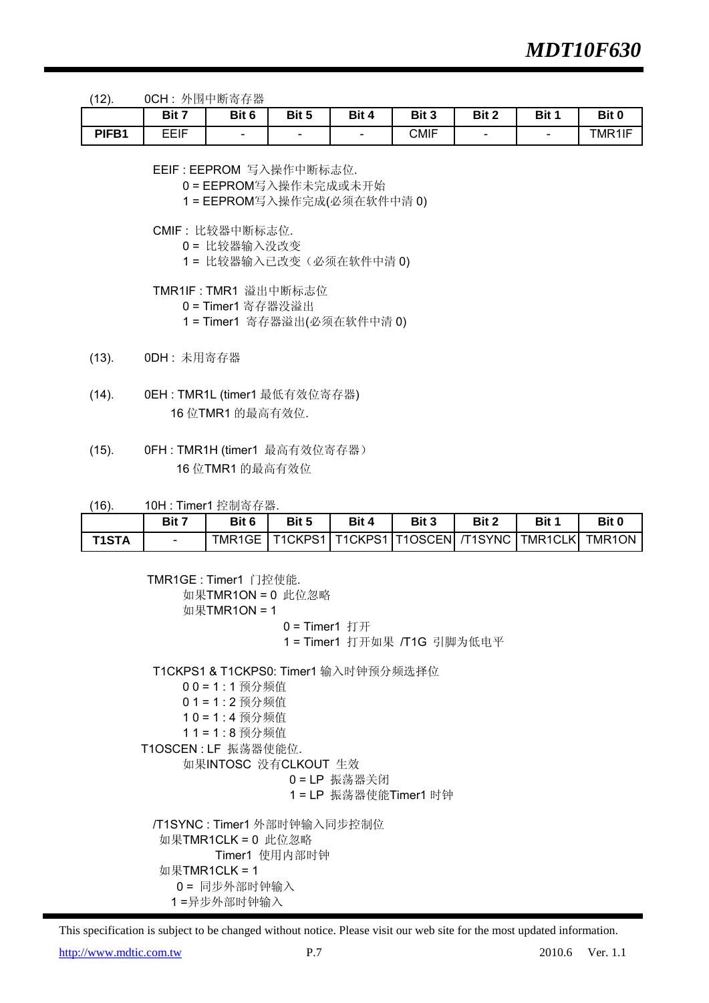(12). 0CH : 外围中断寄存器

|       | Bit 7       | Bit 6                    | Bit 5                    | Bit 4  | Bit 3       | Bit 2                    | Bit 1  | Bit 0  |
|-------|-------------|--------------------------|--------------------------|--------|-------------|--------------------------|--------|--------|
| PIFB1 | <b>EEIF</b> | $\overline{\phantom{a}}$ | $\overline{\phantom{0}}$ | $\sim$ | <b>CMIF</b> | $\overline{\phantom{a}}$ | $\sim$ | TMR1IF |

EEIF : EEPROM 写入操作中断标志位.

0 = EEPROM写入操作未完成或未开始

1 = EEPROM写入操作完成(必须在软件中清 0)

CMIF : 比较器中断标志位.

- 0 = 比较器输入没改变
- 1= 比较器输入已改变(必须在软件中清0)

TMR1IF : TMR1 溢出中断标志位

- 0 = Timer1 寄存器没溢出
- 1 = Timer1 寄存器溢出(必须在软件中清 0)
- (13). 0DH : 未用寄存器
- (14). 0EH : TMR1L (timer1 最低有效位寄存器) 16 位TMR1 的最高有效位.
- (15). 0FH : TMR1H (timer1 最高有效位寄存器) 16 位TMR1 的最高有效位

(16). 10H : Timer1 控制寄存器.

|              | Bit 7 | Bit 6 | Bit 5 | Bit 4 | Bit 3 | <b>Bit 2</b> | Bit 1                                                             | Bit 0 |
|--------------|-------|-------|-------|-------|-------|--------------|-------------------------------------------------------------------|-------|
| <b>T1STA</b> |       |       |       |       |       |              | TMR1GE   T1CKPS1   T1CKPS1   T1OSCEN   /T1SYNC   TMR1CLK   TMR1ON |       |

 TMR1GE : Timer1 门控使能. 如果TMR1ON = 0 此位忽略  $如果TMR1ON = 1$  $0$  = Timer1 打开 1 = Timer1 打开如果 /T1G 引脚为低电平 T1CKPS1 & T1CKPS0: Timer1 输入时钟预分频选择位 0 0 = 1 : 1 预分频值 0 1 = 1 : 2 预分频值 1 0 = 1 : 4 预分频值 1 1 = 1 : 8 预分频值 T1OSCEN : LF 振荡器使能位. 如果INTOSC 没有CLKOUT 生效 0 = LP 振荡器关闭 1 = LP 振荡器使能Timer1 时钟 /T1SYNC : Timer1 外部时钟输入同步控制位 如果TMR1CLK = 0 此位忽略 Timer1 使用内部时钟 如果TMR1CLK = 1

This specification is subject to be changed without notice. Please visit our web site for the most updated information.

http://www.mdtic.com.tw P.7 2010.6 Ver. 1.1

 0 = 同步外部时钟输入 1 =异步外部时钟输入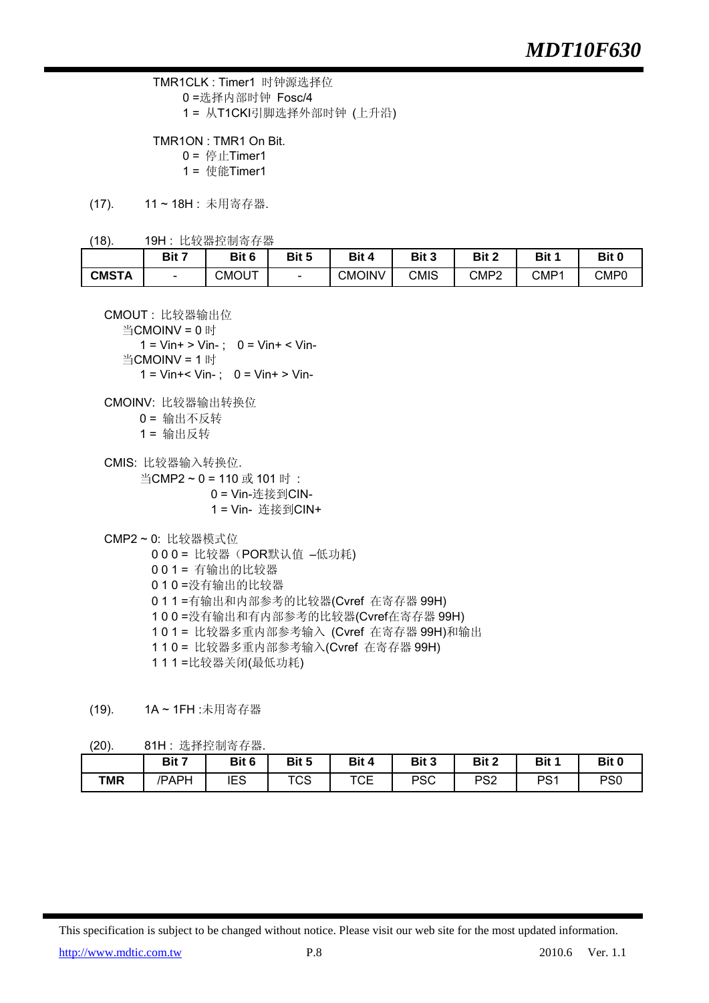TMR1CLK : Timer1 时钟源选择位 0 =选择内部时钟 Fosc/4 1 = 从T1CKI引脚选择外部时钟 (上升沿)

 TMR1ON : TMR1 On Bit.  $0 =$ 停止Timer1 1 = 使能Timer1

(17). 11 ~ 18H : 未用寄存器.

(18). 19H : 比较器控制寄存器

|              | Bit 7                    | Bit 6 | Bit 5 | Bit 4         | Bit 3       | Bit 2                 | D H<br>эπ | Bit 0 |
|--------------|--------------------------|-------|-------|---------------|-------------|-----------------------|-----------|-------|
| <b>CMSTA</b> | $\overline{\phantom{0}}$ | CMOUT |       | <b>CMOINV</b> | <b>CMIS</b> | CMP <sub>2</sub><br>▵ | CMP1      | CMP0  |

CMOUT : 比较器输出位

```
 当CMOINV = 0 时
```
 $1 = \text{Vir} + \text{ Min} -$ ; 0 =  $\text{Vir} + \text{ Min}$ 当CMOINV = 1 时

 $1 =$  Vin+ < Vin-;  $0 =$  Vin+ > Vin-

- CMOINV: 比较器输出转换位 0 = 输出不反转
	- 1 = 输出反转
- CMIS: 比较器输入转换位.
	- 当CMP2 ~ 0 = 110 或 101 时 : 0 = Vin-连接到CIN- 1 = Vin- 连接到CIN+
- CMP2 ~ 0: 比较器模式位
	- 000 = 比较器(POR默认值 –低功耗)
	- 0 0 1 = 有输出的比较器
	- 0 1 0 =没有输出的比较器
	- 0 1 1 =有输出和内部参考的比较器(Cvref 在寄存器 99H)
	- 1 0 0 =没有输出和有内部参考的比较器(Cvref在寄存器 99H)
	- 1 0 1 = 比较器多重内部参考输入 (Cvref 在寄存器 99H)和输出
	- 1 1 0 = 比较器多重内部参考输入(Cvref 在寄存器 99H)
	- 1 1 1 =比较器关闭(最低功耗)
- (19). 1A ~ 1FH :未用寄存器
- (20). 81H : 选择控制寄存器.

| . – – , .  |       |       |            |       |            |                 |                 |                 |
|------------|-------|-------|------------|-------|------------|-----------------|-----------------|-----------------|
|            | Bit 7 | Bit 6 | Bit 5      | Bit 4 | Bit 3      | Bit 2           | Bit 1           | Bit 0           |
| <b>TMR</b> | /PAPH | IES   | ┳⌒⌒<br>ט ו | TCE   | <b>PSC</b> | PS <sub>2</sub> | PS <sub>1</sub> | PS <sub>0</sub> |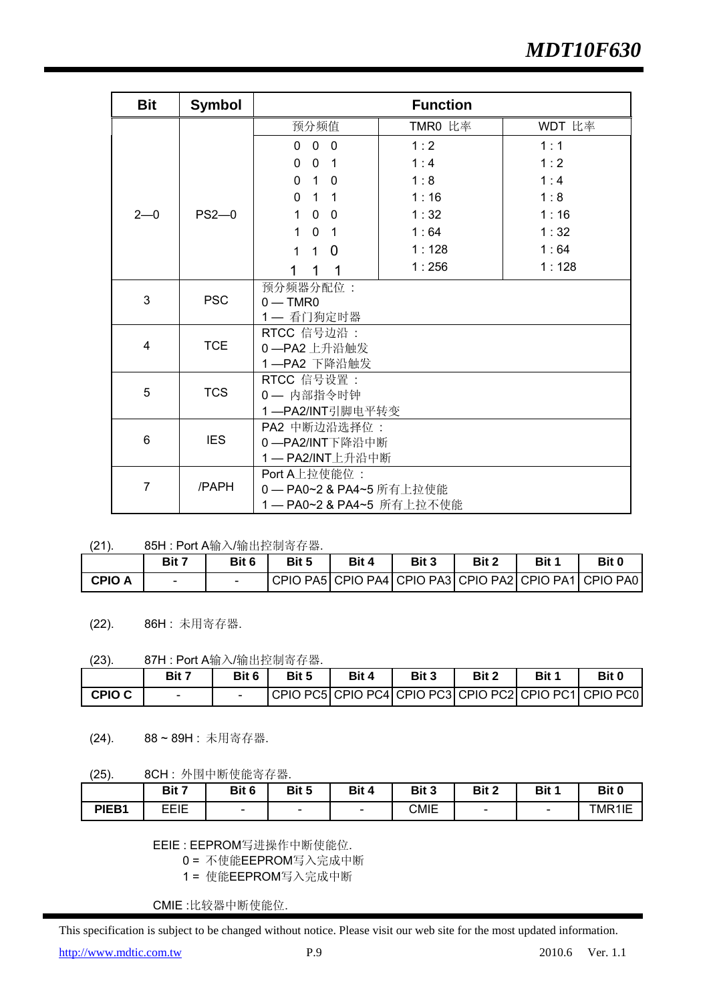| <b>Bit</b> | <b>Symbol</b> |                                                        | <b>Function</b> |        |
|------------|---------------|--------------------------------------------------------|-----------------|--------|
|            |               | 预分频值                                                   | TMR0 比率         | WDT 比率 |
|            |               | $\overline{0}$<br>$\overline{\phantom{0}}$<br>$\Omega$ | 1:2             | 1:1    |
|            |               | $\overline{0}$<br>$\Omega$<br>$\overline{\phantom{0}}$ | 1:4             | 1:2    |
|            |               | $1\quad 0$<br>$\Omega$                                 | 1:8             | 1:4    |
|            |               | $\Omega$<br>$1 \quad 1$                                | 1:16            | 1:8    |
| $2 - 0$    | $PS2-0$       | $\mathbf{0}$<br>$\mathbf{1}$<br>$\overline{0}$         | 1:32            | 1:16   |
|            |               | $\mathbf{0}$<br>$\mathbf 1$<br>$\overline{1}$          | 1:64            | 1:32   |
|            |               | $\overline{0}$<br>$\mathbf{1}$<br>1                    | 1:128           | 1:64   |
|            |               | 1<br>1<br>1                                            | 1:256           | 1:128  |
|            |               | 预分频器分配位:                                               |                 |        |
| 3          | <b>PSC</b>    | $0 - TMR0$                                             |                 |        |
|            |               | 1-看门狗定时器                                               |                 |        |
| 4          | <b>TCE</b>    | RTCC 信号边沿:                                             |                 |        |
|            |               | 0-PA2 上升沿触发<br>1-PA2 下降沿触发                             |                 |        |
|            |               | RTCC 信号设置:                                             |                 |        |
| 5          | <b>TCS</b>    | 0- 内部指令时钟                                              |                 |        |
|            |               | 1-PA2/INT引脚电平转变                                        |                 |        |
|            |               | PA2 中断边沿选择位:                                           |                 |        |
| 6          | <b>IES</b>    | 0-PA2/INT下降沿中断                                         |                 |        |
|            |               | 1-PA2/INT上升沿中断                                         |                 |        |
|            |               | Port A上拉使能位:                                           |                 |        |
| 7          | /PAPH         | 0-PA0~2 & PA4~5 所有上拉使能                                 |                 |        |
|            |               | 1 — PA0~2 & PA4~5 所有上拉不使能                              |                 |        |

<sup>(21). 85</sup>H : Port A输入/输出控制寄存器.

|               | Bit 7 | Bit 6 | Bit 5 | Bit 4 | Bit 3 | <b>Bit 2</b> | Bit 1 | Bit 0                                                             |
|---------------|-------|-------|-------|-------|-------|--------------|-------|-------------------------------------------------------------------|
| <b>CPIO A</b> | -     |       |       |       |       |              |       | I CPIO PA5   CPIO PA4   CPIO PA3   CPIO PA2   CPIO PA1   CPIO PA0 |

(22). 86H : 未用寄存器.

#### (23). 87H : Port A输入/输出控制寄存器.

|               | Bit 7                    | Bit 6 | Bit 5 | Bit 4 | Bit 3 | Bit 2 | Bit 1 | Bit 0                                                      |
|---------------|--------------------------|-------|-------|-------|-------|-------|-------|------------------------------------------------------------|
| <b>CPIO C</b> | $\overline{\phantom{0}}$ |       |       |       |       |       |       | CPIO PC5  CPIO PC4  CPIO PC3  CPIO PC2  CPIO PC1  CPIO PC0 |

(24). 88 ~ 89H : 未用寄存器.

(25). 8CH : 外围中断使能寄存器.

|       | Bit 7 | Bit 6                    | Bit 5 | Bit 4                    | Bit 3       | Bit 2                    | Bit 1 | Bit 0       |
|-------|-------|--------------------------|-------|--------------------------|-------------|--------------------------|-------|-------------|
| PIEB1 | EEIE  | $\overline{\phantom{0}}$ | -     | $\overline{\phantom{0}}$ | <b>CMIE</b> | $\overline{\phantom{a}}$ | -     | $IMR1 \sim$ |

EEIE : EEPROM写进操作中断使能位.

0 = 不使能EEPROM写入完成中断

1 = 使能EEPROM写入完成中断

CMIE :比较器中断使能位.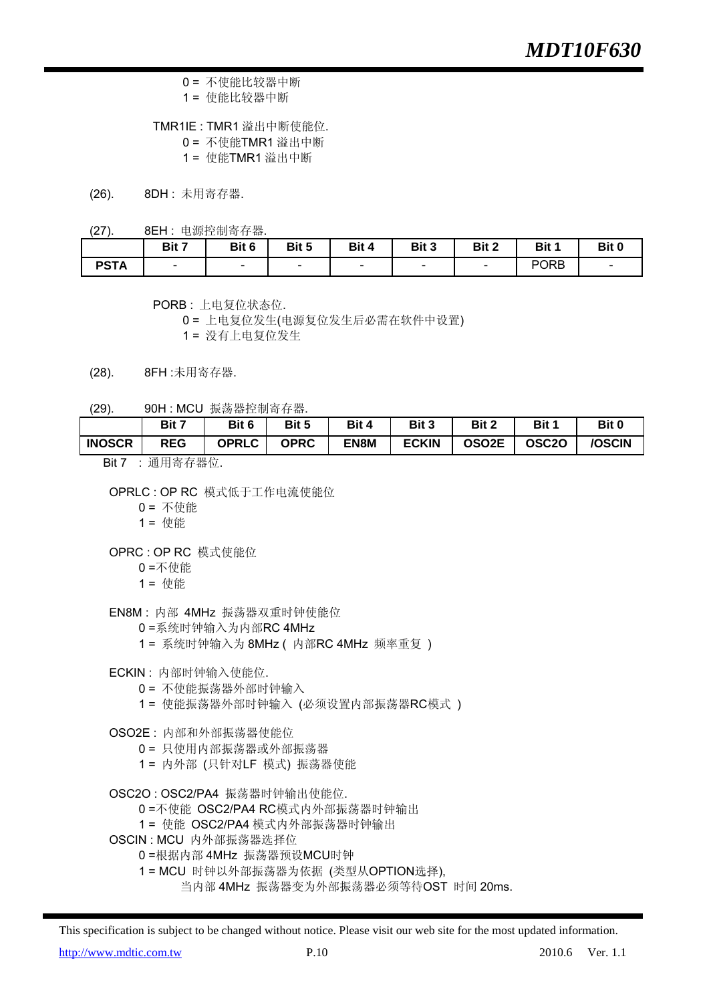- 0 = 不使能比较器中断
- 1 = 使能比较器中断

TMR1IE : TMR1 溢出中断使能位.

- 0 = 不使能TMR1 溢出中断
- 1 = 使能TMR1 溢出中断
- (26). 8DH : 未用寄存器.
- (27). 8EH : 电源控制寄存器.

|             | Bit 7 | Bit 6 | Bit 5 | Bit 4                    | Bit 3                    | Bit 2                    | Bit 1       | Bit 0 |
|-------------|-------|-------|-------|--------------------------|--------------------------|--------------------------|-------------|-------|
| <b>PSTA</b> | -     | -     | -     | $\overline{\phantom{0}}$ | $\overline{\phantom{0}}$ | $\overline{\phantom{0}}$ | <b>PORB</b> |       |

PORB : 上电复位状态位.

0 = 上电复位发生(电源复位发生后必需在软件中设置)

1 = 没有上电复位发生

- (28). 8FH :未用寄存器.
- (29). 90H : MCU 振荡器控制寄存器.

|               | Bit 7                                                   | Bit 6        | Bit 5       | Bit 4 | Bit 3        | Bit 2              | Bit 1             | Bit 0  |
|---------------|---------------------------------------------------------|--------------|-------------|-------|--------------|--------------------|-------------------|--------|
| <b>INOSCR</b> | <b>REG</b>                                              | <b>OPRLC</b> | <b>OPRC</b> | EN8M  | <b>ECKIN</b> | OSO <sub>2</sub> E | OSC <sub>20</sub> | /OSCIN |
| $- \cdot -$   | $\sim$ $\sim$ $\sim$ $\sim$ $\sim$ $\sim$ $\sim$ $\sim$ |              |             |       |              |                    |                   |        |

Bit 7 : 通用寄存器位.

- 0 = 不使能
- 1 = 使能
- OPRC : OP RC 模式使能位
	- 0 =不使能
	- 1 = 使能

EN8M : 内部 4MHz 振荡器双重时钟使能位

- 0 =系统时钟输入为内部RC 4MHz
- 1 = 系统时钟输入为 8MHz ( 内部RC 4MHz 频率重复 )
- ECKIN : 内部时钟输入使能位.
	- 0 = 不使能振荡器外部时钟输入
	- 1 = 使能振荡器外部时钟输入 (必须设置内部振荡器RC模式 )
- OSO2E : 内部和外部振荡器使能位
	- 0 = 只使用内部振荡器或外部振荡器
	- 1 = 内外部 (只针对LF 模式) 振荡器使能
- OSC2O : OSC2/PA4 振荡器时钟输出使能位.
	- 0 =不使能 OSC2/PA4 RC模式内外部振荡器时钟输出
	- 1 = 使能 OSC2/PA4 模式内外部振荡器时钟输出
- OSCIN : MCU 内外部振荡器选择位
	- 0 =根据内部 4MHz 振荡器预设MCU时钟
		- 1 = MCU 时钟以外部振荡器为依据 (类型从OPTION选择),
			- 当内部 4MHz 振荡器变为外部振荡器必须等待OST 时间 20ms.

This specification is subject to be changed without notice. Please visit our web site for the most updated information.

http://www.mdtic.com.tw P.10 P.10 2010.6 Ver. 1.1

OPRLC : OP RC 模式低于工作电流使能位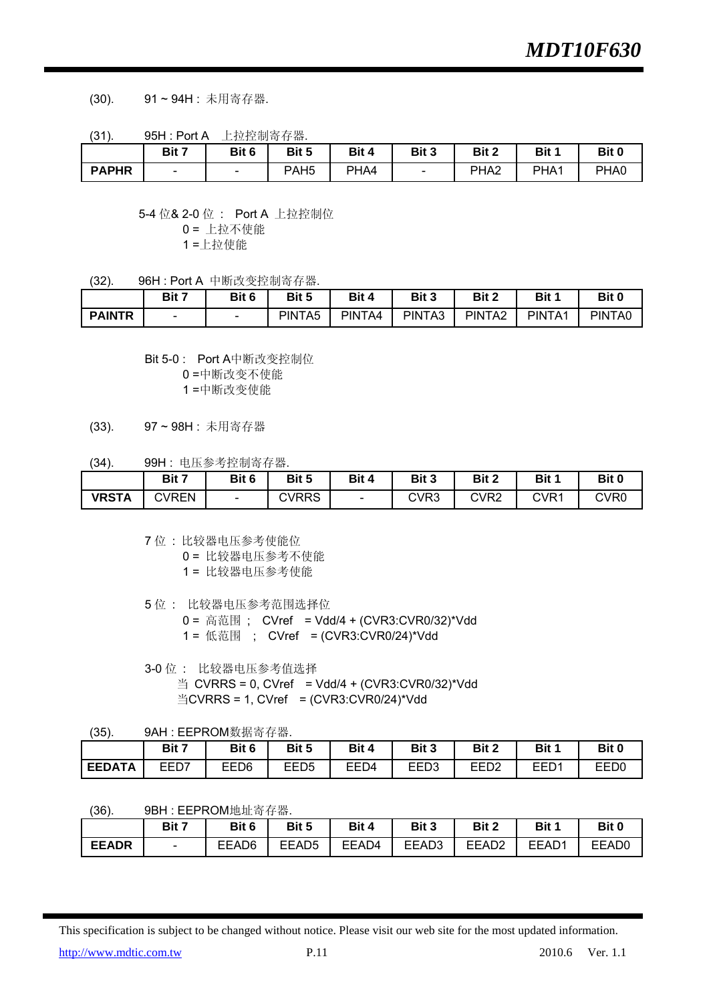(30). 91 ~ 94H : 未用寄存器.

(31). 95H : Port A 上拉控制寄存器.

|              | Bit 7                    | Bit 6                    | Bit 5            | Bit 4 | Bit 3 | Bit 2            | Bit 1 | Bit 0 |
|--------------|--------------------------|--------------------------|------------------|-------|-------|------------------|-------|-------|
| <b>PAPHR</b> | $\overline{\phantom{0}}$ | $\overline{\phantom{0}}$ | PAH <sub>5</sub> | PHA4  | -     | PHA <sub>2</sub> | PHA1  | PHA0  |

5-4 位& 2-0 位 : Port A 上拉控制位

0 = 上拉不使能

1 =上拉使能

(32). 96H : Port A 中断改变控制寄存器.

|               | Bit 7 | Bit 6                    | Bit 5              | Bit 4  | Bit 3  | Bit 2  | Bit 1  | Bit 0  |
|---------------|-------|--------------------------|--------------------|--------|--------|--------|--------|--------|
| <b>PAINTR</b> | -     | $\overline{\phantom{0}}$ | PINTA <sub>5</sub> | PINTA4 | PINTA3 | PINTA2 | PINTA1 | PINTA0 |

Bit 5-0 : Port A中断改变控制位

0 =中断改变不使能

1 =中断改变使能

(33). 97 ~ 98H : 未用寄存器

(34). 99H : 电压参考控制寄存器.

|              | Bit 7 | Bit 6                    | Bit 5        | Bit 4 | Bit 3 | Bit 2            | Bit 1 | Bit 0 |
|--------------|-------|--------------------------|--------------|-------|-------|------------------|-------|-------|
| <b>VRSTA</b> | CVREN | $\overline{\phantom{0}}$ | <b>CVRRS</b> |       | CVR3  | CVR <sub>2</sub> | CVR1  | CVR0  |

7 位 : 比较器电压参考使能位

- 0 = 比较器电压参考不使能
- 1 = 比较器电压参考使能
- 5 位 : 比较器电压参考范围选择位
	- 0 = 高范围 ; CVref = Vdd/4 + (CVR3:CVR0/32)\*Vdd
	- 1 = 低范围 ; CVref = (CVR3:CVR0/24)\*Vdd
- 3-0 位 : 比较器电压参考值选择  $\cong$  CVRRS = 0, CVref = Vdd/4 + (CVR3:CVR0/32)\*Vdd  $\angle$   $\angle$ CVRRS = 1, CVref = (CVR3:CVR0/24)\*Vdd

(35). 9AH : EEPROM数据寄存器.

|               | Bit 7 | Bit 6 | Bit 5            | Bit 4 | Bit 3 | Bit 2            | Bit 1 | Bit 0            |
|---------------|-------|-------|------------------|-------|-------|------------------|-------|------------------|
| <b>EEDATA</b> | EED7  | EED6  | EED <sub>5</sub> | EED4  | EED3  | EED <sub>2</sub> | EED1  | EED <sub>0</sub> |

(36). 9BH : EEPROM地址寄存器.

|              | Bit 7                    | Bit 6 | Bit 5             | Bit 4 | Bit 3 | Bit 2             | Bit 1 | Bit 0 |
|--------------|--------------------------|-------|-------------------|-------|-------|-------------------|-------|-------|
| <b>EEADR</b> | $\overline{\phantom{0}}$ | EEAD6 | EEAD <sub>5</sub> | EEAD4 | EEAD3 | EEAD <sub>2</sub> | EEAD1 | EEAD0 |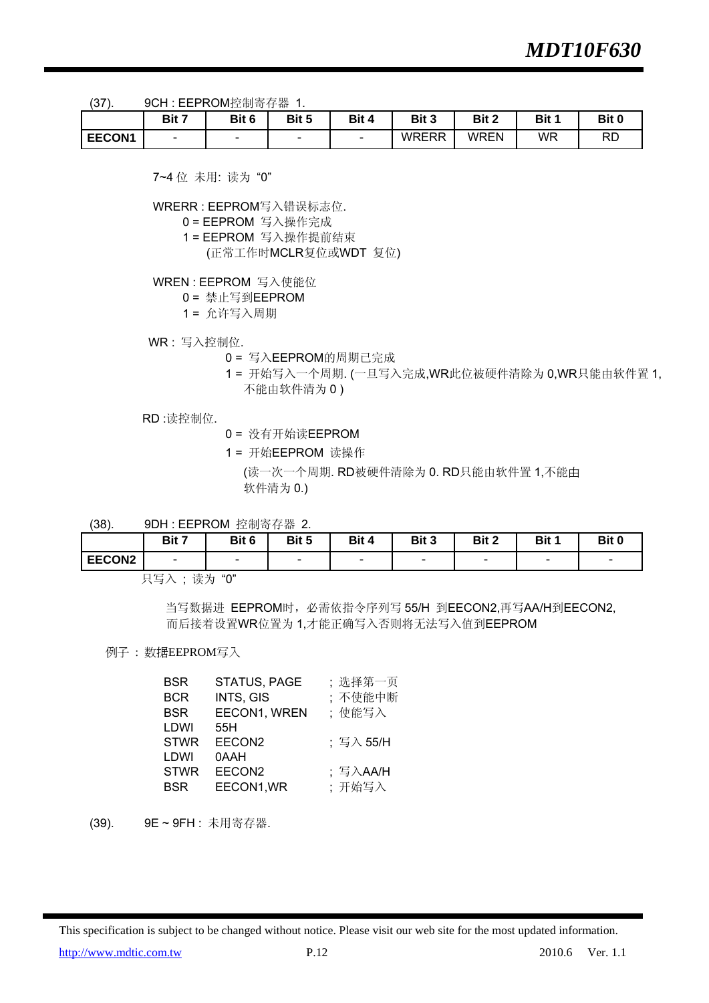(37). 9CH : EEPROM控制寄存器 1.

|               | Bit 7 | Bit 6                    | Bit 5 | Bit 4 | Bit 3        | Bit 2 | Bit 1 | Bit 0     |
|---------------|-------|--------------------------|-------|-------|--------------|-------|-------|-----------|
| <b>EECON1</b> | -     | $\overline{\phantom{0}}$ | -     | -     | <b>WRERR</b> | WREN  | WR    | <b>RD</b> |

7~4 位 未用: 读为 "0"

WRERR : EEPROM写入错误标志位.

0 = EEPROM 写入操作完成

- 1 = EEPROM 写入操作提前结束
	- (正常工作时MCLR复位或WDT 复位)

WREN : EEPROM 写入使能位

0 = 禁止写到EEPROM

1 = 允许写入周期

WR : 写入控制位.

- 0 = 写入EEPROM的周期已完成
- 1 = 开始写入一个周期. (一旦写入完成,WR此位被硬件清除为 0,WR只能由软件置 1, 不能由软件清为 0 )

RD :读控制位.

0 = 没有开始读EEPROM

1 = 开始EEPROM 读操作

(读一次一个周期. RD被硬件清除为 0. RD只能由软件置 1,不能由 软件清为 0.)

(38). 9DH : EEPROM 控制寄存器 2.

|        | Bit 7                                                     | Bit 6                    | Bit 5                    | Bit 4  | Bit 3                    | Bit 2                    | Bit 1 | Bit 0  |
|--------|-----------------------------------------------------------|--------------------------|--------------------------|--------|--------------------------|--------------------------|-------|--------|
| EECON2 | $\overline{\phantom{0}}$                                  | $\overline{\phantom{a}}$ | $\overline{\phantom{a}}$ | $\sim$ | $\overline{\phantom{0}}$ | $\overline{\phantom{a}}$ | -     | $\sim$ |
|        | $\rightarrow + - \rightarrow$<br>$H H \rightarrow \infty$ | $(1 - 1)$                |                          |        |                          |                          |       |        |

只写入 ; 读为 "0"

 当写数据进 EEPROM时,必需依指令序列写 55/H 到EECON2,再写AA/H到EECON2, 而后接着设置WR位置为 1,才能正确写入否则将无法写入值到EEPROM

例子 : 数据EEPROM写入

| <b>BSR</b>  | STATUS, PAGE       | :选择第一页        |
|-------------|--------------------|---------------|
| <b>BCR</b>  | INTS, GIS          | ;不使能中断        |
| <b>BSR</b>  | EECON1, WREN       | ;使能写入         |
| LDWI        | 55H                |               |
| <b>STWR</b> | EECON2             | ;写入 55/H      |
| LDWI        | 0AAH               |               |
| <b>STWR</b> | EECON <sub>2</sub> | ;写入 $A$ $A/H$ |
| <b>BSR</b>  | EECON1, WR         | ;开始写入         |
|             |                    |               |

(39). 9E ~ 9FH : 未用寄存器.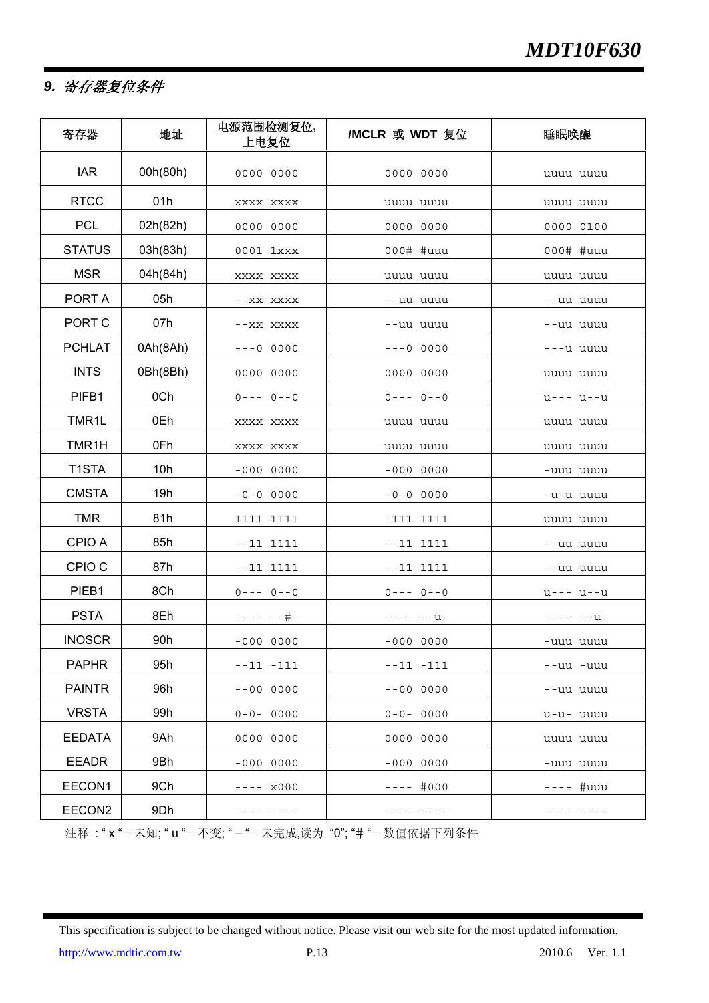### *9.* 寄存器复位条件

| 寄存器               | 地址       | 电源范围检测复位,<br>上电复位   | /MCLR 或 WDT 复位 | 睡眠唤醒       |
|-------------------|----------|---------------------|----------------|------------|
| <b>IAR</b>        | 00h(80h) | 0000 0000           | 0000 0000      | uuuu uuuu  |
| <b>RTCC</b>       | 01h      | XXXX XXXX           | uuuu uuuu      | uuuu uuuu  |
| <b>PCL</b>        | 02h(82h) | 0000 0000           | 0000 0000      | 0000 0100  |
| <b>STATUS</b>     | 03h(83h) | 0001 1xxx           | 000# #uuu      | 000# #uuu  |
| <b>MSR</b>        | 04h(84h) | XXXX XXXX           | uuuu uuuu      | uuuu uuuu  |
| PORT A            | 05h      | --XX XXXX           | --uu uuuu      | --uu uuuu  |
| PORT C            | 07h      | --XX XXXX           | --uu uuuu      | --uu uuuu  |
| <b>PCHLAT</b>     | 0Ah(8Ah) | $---0$ 0000         | $---0$ 0000    | ---u uuuu  |
| <b>INTS</b>       | 0Bh(8Bh) | 0000 0000           | 0000 0000      | uuuu uuuu  |
| PIFB1             | 0Ch      | $0---0--0$          | $0---0--0$     | u--- u--u  |
| TMR1L             | 0Eh      | XXXX XXXX           | uuuu uuuu      | uuuu uuuu  |
| TMR1H             | 0Fh      | XXXX XXXX           | uuuu uuuu      | uuuu uuuu  |
| T1STA             | 10h      | $-0000000$          | $-0000000$     | -uuu uuuu  |
| <b>CMSTA</b>      | 19h      | $-0 - 0 0000$       | $-0-0$ 0000    | -u-u uuuu  |
| <b>TMR</b>        | 81h      | 1111 1111           | 1111 1111      | uuuu uuuu  |
| CPIO A            | 85h      | $- -11$ 1111        | $- -11$ 1111   | --uu uuuu  |
| CPIO <sub>C</sub> | 87h      | --11 1111           | $--11$ 1111    | --uu uuuu  |
| PIEB1             | 8Ch      | $0---0--0$          | $0---0--0$     | $u---u--u$ |
| <b>PSTA</b>       | 8Eh      | $+ + - - = - + + -$ | ---- --u-      | ---- --u-  |
| <b>INOSCR</b>     | 90h      | $-0000000$          | $-0000000$     | -uuu uuuu  |
| <b>PAPHR</b>      | 95h      | $--11$ $-111$       | $--11 -111$    | --uu -uuu  |
| <b>PAINTR</b>     | 96h      | $-000000$           | $- -000000$    | --uu uuuu  |
| <b>VRSTA</b>      | 99h      | $0 - 0 - 0000$      | $0 - 0 - 0000$ | u-u- uuuu  |
| <b>EEDATA</b>     | 9Ah      | 0000 0000           | 0000 0000      | uuuu uuuu  |
| <b>EEADR</b>      | 9Bh      | $-0000000$          | $-0000000$     | -uuu uuuu  |
| EECON1            | 9Ch      | ---- x000           | $---#000$      | #uuu       |
| EECON2            | 9Dh      | ---- ----           | ---- ----      | ---- ----  |

注释 : " x "=未知; " u "=不变; " – "=未完成,读为 "0"; "# "=数值依据下列条件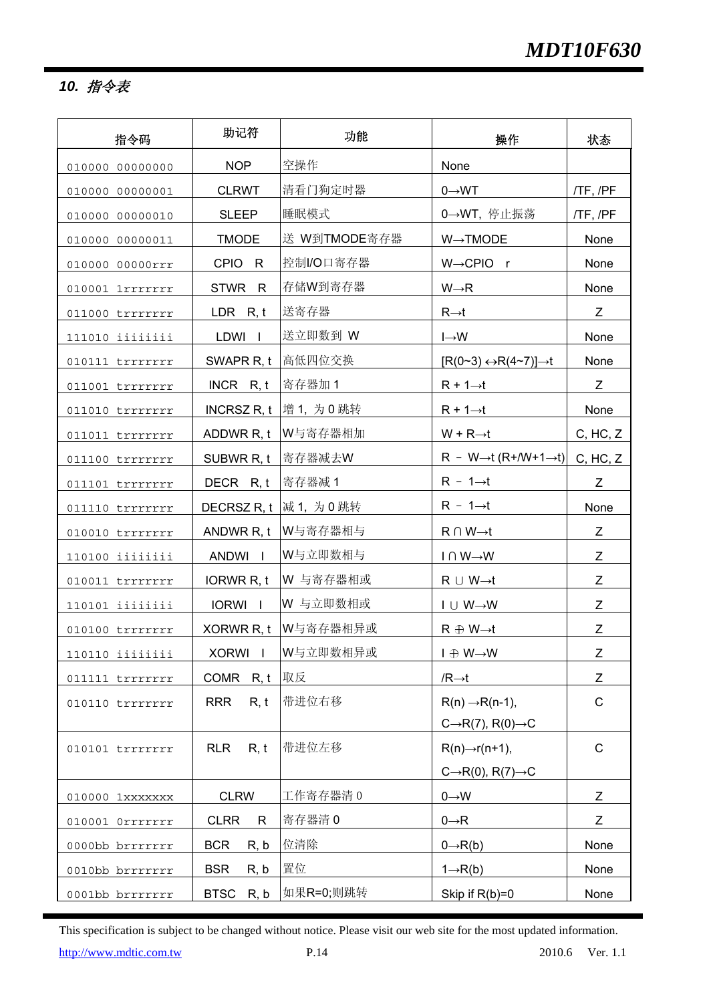*10.* 指令表

| 指令码             | 助记符                 | 功能                       | 操作                                                | 状态           |
|-----------------|---------------------|--------------------------|---------------------------------------------------|--------------|
| 010000 00000000 | <b>NOP</b>          | 空操作                      | None                                              |              |
| 010000 00000001 | <b>CLRWT</b>        | 清看门狗定时器                  | $0 \rightarrow WT$                                | /TF, /PF     |
| 010000 00000010 | <b>SLEEP</b>        | 睡眠模式                     | 0→WT, 停止振荡                                        | /TF, /PF     |
| 010000 00000011 | <b>TMODE</b>        | 送 W到TMODE寄存器             | $W \rightarrow TMODE$                             | None         |
| 010000 00000rrr | CPIO R              | 控制I/O口寄存器                | W→CPIO r                                          | None         |
| 010001 1rrrrrrr | STWR R              | 存储W到寄存器                  | $W \rightarrow R$                                 | None         |
| 011000 trrrrrrr | LDR $R, t$          | 送寄存器                     | $R\rightarrow t$                                  | Z            |
| 111010 iiiiiiii | LDWI I              | 送立即数到 W                  | $I \rightarrow W$                                 | None         |
| 010111 trrrrrrr | SWAPR R, t          | 高低四位交换                   | $[R(0-3) \leftrightarrow R(4-7)] \rightarrow t$   | None         |
| 011001 trrrrrrr | $INCR$ R, t         | 寄存器加1                    | $R + 1 \rightarrow t$                             | Z            |
| 011010 trrrrrrr |                     | INCRSZ R, t  增 1, 为 0 跳转 | $R + 1 \rightarrow t$                             | None         |
| 011011 trrrrrrr | ADDWR R, t          | W与寄存器相加                  | $W + R \rightarrow t$                             | C, HC, Z     |
| 011100 trrrrrrr | SUBWR R, t          | 寄存器减去W                   | $R - W \rightarrow t (R + / W + 1 \rightarrow t)$ | C, HC, Z     |
| 011101 trrrrrrr | DECR R, t           | 寄存器减1                    | $R - 1 \rightarrow t$                             | Z            |
| 011110 trrrrrrr | DECRSZ R, t         | 减1,为0跳转                  | $R - 1 \rightarrow t$                             | None         |
| 010010 trrrrrrr | ANDWR R, t          | W与寄存器相与                  | $R \cap W \rightarrow t$                          | Z            |
| 110100 iiiiiiii | ANDWI I             | W与立即数相与                  | $I \cap W \rightarrow W$                          | Z            |
| 010011 trrrrrrr | IORWR R, t          | W 与寄存器相或                 | $R \cup W \rightarrow t$                          | Z            |
| 110101 iiiiiiii | IORWI I             | W 与立即数相或                 | $I \cup W \rightarrow W$                          | Z            |
| 010100 trrrrrrr |                     | XORWR R, t   W与寄存器相异或    | $R \oplus W \rightarrow t$                        | Z            |
| 110110 iiiiiiii |                     | XORWI I   W与立即数相异或       | $I \oplus W \rightarrow W$                        | Z            |
| 011111 trrrrrrr | COMR R, t   取反      |                          | $/R \rightarrow t$                                | Z            |
| 010110 trrrrrrr | <b>RRR</b><br>R, t  | 带进位右移                    | $R(n) \rightarrow R(n-1)$ ,                       | $\mathsf C$  |
|                 |                     |                          | $C\rightarrow R(7)$ , $R(0)\rightarrow C$         |              |
| 010101 trrrrrrr | <b>RLR</b><br>R, t  | 带进位左移                    | $R(n) \rightarrow r(n+1)$ ,                       | $\mathsf{C}$ |
|                 |                     |                          | $C\rightarrow R(0), R(7)\rightarrow C$            |              |
| 010000 1xxxxxxx | <b>CLRW</b>         | 工作寄存器清0                  | $0 \rightarrow W$                                 | Z            |
| 010001 0rrrrrrr | <b>CLRR</b><br>R    | 寄存器清0                    | $0 \rightarrow R$                                 | Z            |
| 0000bb brrrrrrr | <b>BCR</b><br>R, b  | 位清除                      | $0 \rightarrow R(b)$                              | None         |
| 0010bb brrrrrrr | <b>BSR</b><br>R, b  | 置位                       | $1 \rightarrow R(b)$                              | None         |
| 0001bb brrrrrrr | <b>BTSC</b><br>R, b | 如果R=0;则跳转                | Skip if $R(b)=0$                                  | None         |

This specification is subject to be changed without notice. Please visit our web site for the most updated information.

http://www.mdtic.com.tw P.14 2010.6 Ver. 1.1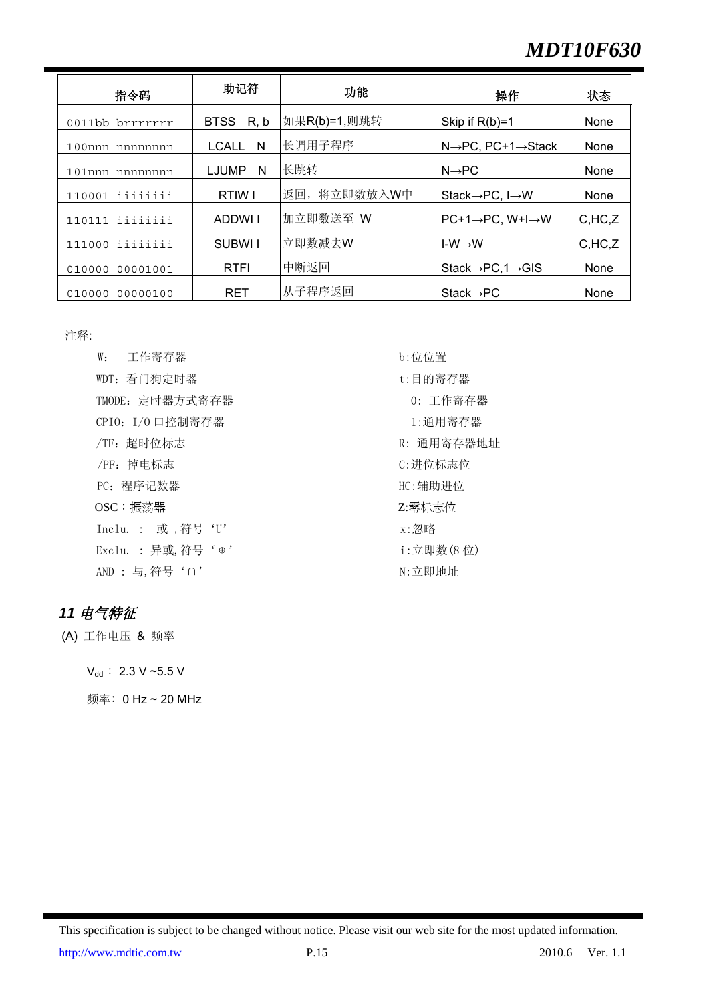# *MDT10F630*

| 指令码                   | 助记符               | 功能           | 操作                                            | 状态      |
|-----------------------|-------------------|--------------|-----------------------------------------------|---------|
| 0011bb brrrrrrr       | BTSS R, b         | 如果R(b)=1,则跳转 | Skip if $R(b)=1$                              | None    |
| $100$ nnn<br>nnnnnnnn | <b>LCALL</b><br>N | 长调用子程序       | $N \rightarrow PC$ , PC+1 $\rightarrow$ Stack | None    |
| $101$ nnn<br>nnnnnnn  | LJUMP<br>N        | 长跳转          | $N \rightarrow PC$                            | None    |
| iiiiiiii<br>110001    | RTIW I            | 返回, 将立即数放入W中 | Stack $\rightarrow$ PC, I $\rightarrow$ W     | None    |
| iiiiiiii<br>110111    | ADDWLI            | 加立即数送至 W     | $PC+1 \rightarrow PC$ , $W+I \rightarrow W$   | C,HC, Z |
| iiiiiiii<br>111000    | SUBWI I           | 立即数减去W       | $I-W \rightarrow W$                           | C,HC, Z |
| 00001001<br>010000    | <b>RTFI</b>       | 中断返回         | $State \rightarrow PC, 1 \rightarrow GIS$     | None    |
| 00000100<br>010000    | <b>RET</b>        | 从子程序返回       | $Stack \rightarrow PC$                        | None    |

注释:

W: 工作寄存器 b:位位置 WDT: 看门狗定时器 t:目的寄存器 TMODE: 定时器方式寄存器 0: 工作寄存器  $CPI0: I/O$  口控制寄存器  $1:$  通用寄存器 /TF:超时位标志 R: 通用寄存器地址 /PF: 掉电标志 <br />
<br />
<br />
<br />
<br />
<br />
<br />
<br />
C: 进位标志位 PC: 程序记数器 **HC:**辅助进位 OSC: 振荡器 The Contract of the Contract of the Contract of the Contract of the Contract of the Contract of the Co Inclu. : 或,符号'U' x:忽略 Exclu. : 异或,符号'⊕' i:立即数(8 位) AND : 与, 符号'∩' → N: 立即地址

#### *11* 电气特征

(A) 工作电压 & 频率

 $V_{dd}$  : 2.3 V ~5.5 V

频率﹕0 Hz ~ 20 MHz

This specification is subject to be changed without notice. Please visit our web site for the most updated information.

http://www.mdtic.com.tw P.15 2010.6 Ver. 1.1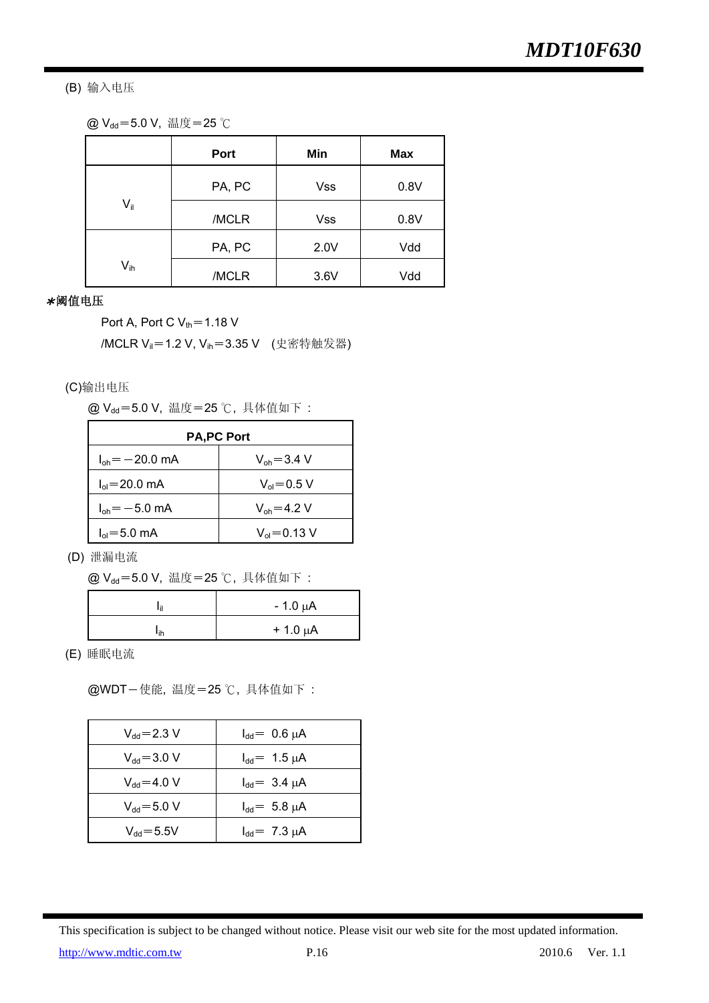(B) 输入电压

|  |  |  | @ V <sub>dd</sub> =5.0 V, 温度=25 ℃ |  |
|--|--|--|-----------------------------------|--|
|--|--|--|-----------------------------------|--|

|               | Port   | Min        | <b>Max</b> |
|---------------|--------|------------|------------|
|               | PA, PC | <b>Vss</b> | 0.8V       |
| $V_{\rm{ii}}$ | /MCLR  | <b>Vss</b> | 0.8V       |
|               | PA, PC | 2.0V       | Vdd        |
| $V_{ih}$      | /MCLR  | 3.6V       | Vdd        |

#### \*阈值电压

Port A, Port C  $V_{th}$  = 1.18 V

/MCLR V<sub>il</sub>=1.2 V, V<sub>ih</sub>=3.35 V (史密特触发器)

(C)输出电压

@ V<sub>dd</sub>=5.0 V, 温度=25 ℃, 具体值如下:

| <b>PA,PC Port</b>                  |                          |  |  |
|------------------------------------|--------------------------|--|--|
| $I_{\text{oh}} = -20.0 \text{ mA}$ | $V_{\rm oh} = 3.4$ V     |  |  |
| $I_{ol} = 20.0$ mA                 | $V_{\text{ol}} = 0.5 V$  |  |  |
| $I_{oh} = -5.0$ mA                 | $V_{oh} = 4.2 V$         |  |  |
| $I_{ol} = 5.0$ mA                  | $V_{\text{ol}} = 0.13 V$ |  |  |

(D) 泄漏电流

@ V<sub>dd</sub>=5.0 V, 温度=25 ℃, 具体值如下:

|     | $-1.0 \mu A$ |
|-----|--------------|
| ١ih | $+1.0 \mu A$ |

(E) 睡眠电流

@WDT-使能, 温度=25 ℃, 具体值如下:

| $\rm V_{dd}$ $\!=$ 2.3 V | $I_{dd} = 0.6 \mu A$ |
|--------------------------|----------------------|
| $V_{dd} = 3.0 V$         | $I_{dd} = 1.5 \mu A$ |
| $V_{dd} = 4.0 V$         | $I_{dd} = 3.4 \mu A$ |
| $V_{dd} = 5.0 V$         | $I_{dd} = 5.8 \mu A$ |
| $V_{dd} = 5.5V$          | $I_{dd} = 7.3 \mu A$ |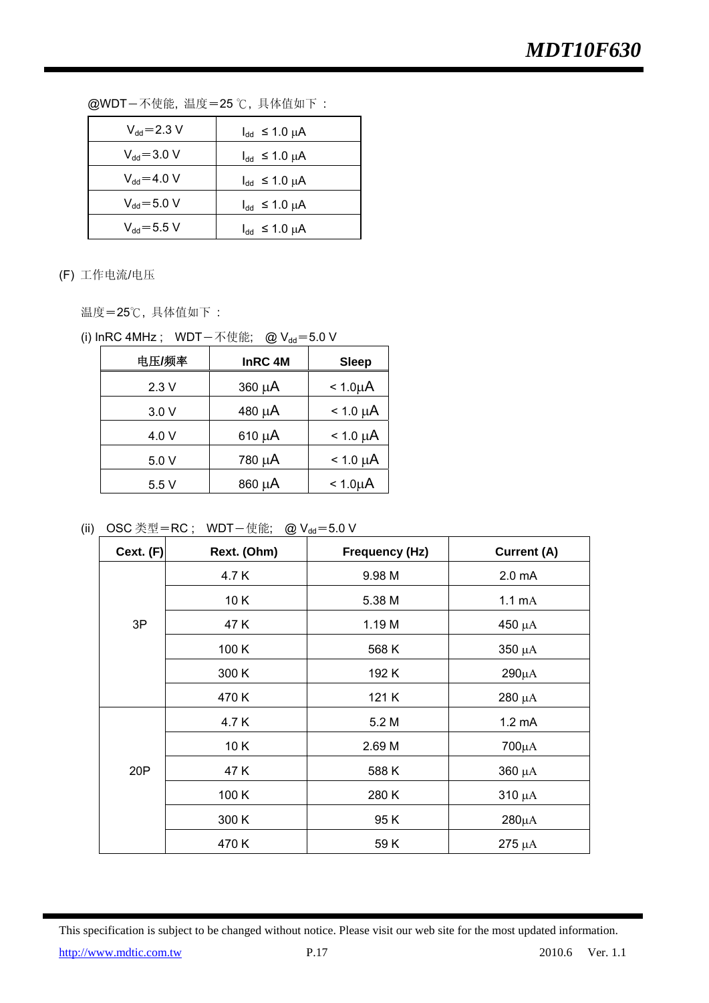| $V_{dd} = 2.3 V$ | $I_{dd} \leq 1.0 \mu A$ |
|------------------|-------------------------|
| $V_{dd} = 3.0 V$ | $I_{dd} \leq 1.0 \mu A$ |
| $V_{dd} = 4.0 V$ | $I_{dd} \leq 1.0 \mu A$ |
| $V_{dd} = 5.0 V$ | $I_{dd} \leq 1.0 \mu A$ |
| $V_{dd} = 5.5 V$ | $I_{dd} \leq 1.0 \mu A$ |

@WDT-不使能, 温度=25 ℃, 具体值如下:

(F) 工作电流/电压

温度=25℃,具体值如下:

|  | (i) InRC 4MHz; WDT一不使能; @ Vdd=5.0 V |  |
|--|-------------------------------------|--|
|--|-------------------------------------|--|

| 电压/频率 | InRC 4M     | <b>Sleep</b>  |
|-------|-------------|---------------|
| 2.3V  | 360 µA      | $< 1.0 \mu A$ |
| 3.0V  | 480 µA      | $< 1.0 \mu A$ |
| 4.0 V | $610 \mu A$ | $< 1.0 \mu A$ |
| 5.0 V | 780 µA      | $< 1.0 \mu A$ |
| 5.5V  | 860 µA      | $< 1.0 \mu A$ |

(ii) OSC 类型=RC; WDT-使能; @  $V_{dd} = 5.0 V$ 

| Cext. $(F)$ | Rext. (Ohm) | <b>Frequency (Hz)</b> | <b>Current (A)</b> |
|-------------|-------------|-----------------------|--------------------|
|             | 4.7 K       | 9.98 M                | 2.0 <sub>m</sub> A |
|             | 10K         | 5.38 M                | $1.1 \text{ mA}$   |
| 3P          | 47 K        | 1.19 M                | $450 \mu A$        |
|             | 100 K       | 568 K                 | $350 \mu A$        |
|             | 300 K       | 192 K                 | $290\mu A$         |
|             | 470 K       | 121 K                 | $280 \mu A$        |
|             | 4.7 K       | 5.2 M                 | $1.2 \text{ mA}$   |
|             | 10K         | 2.69 M                | $700\mu A$         |
| 20P         | 47 K        | 588 K                 | $360 \mu A$        |
|             | 100 K       | 280 K                 | $310 \mu A$        |
|             | 300 K       | 95K                   | $280\mu A$         |
|             | 470 K       | 59 K                  | $275 \mu A$        |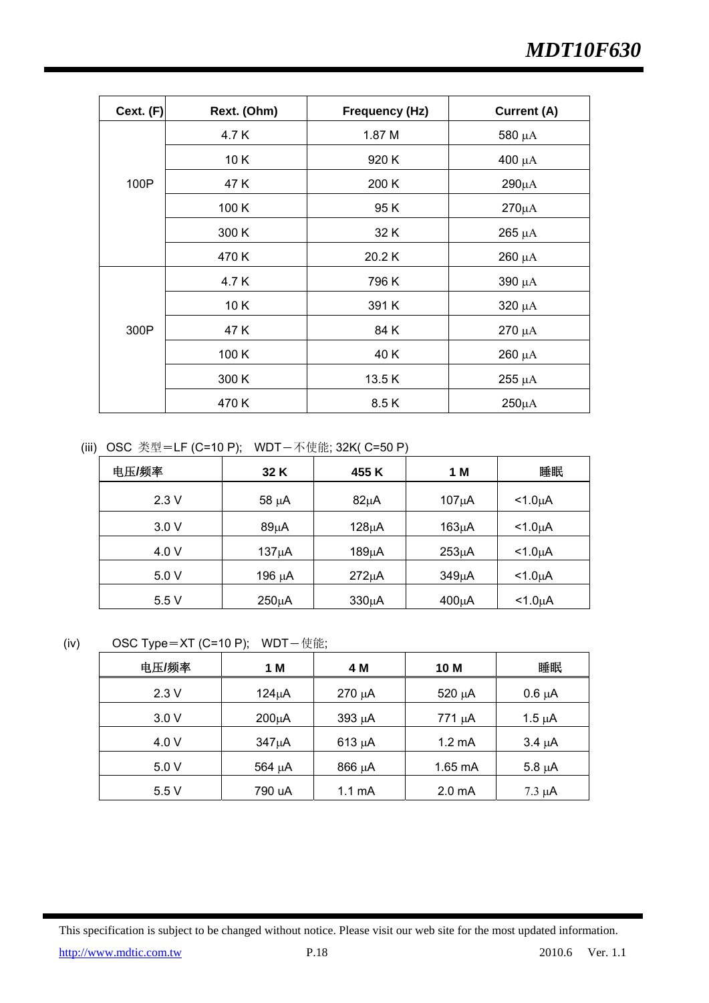| Cext. $(F)$ | Rext. (Ohm) | <b>Frequency (Hz)</b> | <b>Current (A)</b> |
|-------------|-------------|-----------------------|--------------------|
|             | 4.7 K       | 1.87 M                | 580 $\mu$ A        |
|             | 10K         | 920 K                 | 400 $\mu$ A        |
| 100P        | 47 K        | 200 K                 | $290\mu A$         |
|             | 100 K       | 95 K                  | $270\mu A$         |
|             | 300 K       | 32 K                  | $265 \mu A$        |
|             | 470 K       | 20.2K                 | $260 \mu A$        |
|             | 4.7K        | 796 K                 | $390 \mu A$        |
|             | 10K         | 391 K                 | $320 \mu A$        |
| 300P        | 47 K        | 84 K                  | $270 \mu A$        |
|             | 100 K       | 40 K                  | $260 \mu A$        |
|             | 300 K       | 13.5K                 | $255 \mu A$        |
|             | 470 K       | 8.5K                  | $250\mu A$         |

(iii) OSC 类型=LF (C=10 P); WDT-不使能; 32K( C=50 P)

| 电压/频率 | 32 K       | 455 K      | 1 M                | 睡眠              |
|-------|------------|------------|--------------------|-----------------|
| 2.3V  | $58 \mu A$ | $82\mu A$  | $107\mu A$         | $<$ 1.0 $\mu$ A |
| 3.0V  | $89\mu A$  | $128\mu A$ | $163\mu A$         | $<$ 1.0 $\mu$ A |
| 4.0 V | $137\mu A$ | $189\mu A$ | $253\mu A$         | $<$ 1.0 $\mu$ A |
| 5.0 V | 196 μΑ     | $272\mu A$ | 349 <sub>µ</sub> A | $<$ 1.0 $\mu$ A |
| 5.5V  | $250\mu A$ | $330\mu A$ | $400\mu A$         | $<$ 1.0 $\mu$ A |

(iv) OSC Type=XT (C=10 P); WDT-使能;

| 电压/频率 | 1 M        | 4 M              | 10 M               | 睡眠          |
|-------|------------|------------------|--------------------|-------------|
| 2.3V  | $124\mu A$ | 270 µA           | 520 µA             | $0.6 \mu A$ |
| 3.0V  | $200\mu A$ | 393 µA           | 771 µA             | $1.5 \mu A$ |
| 4.0 V | $347\mu A$ | $613 \mu A$      | $1.2 \text{ mA}$   | $3.4 \mu A$ |
| 5.0V  | 564 µA     | 866 μA           | $1.65 \text{ mA}$  | $5.8 \mu A$ |
| 5.5 V | 790 uA     | $1.1 \text{ mA}$ | 2.0 <sub>m</sub> A | $7.3 \mu A$ |